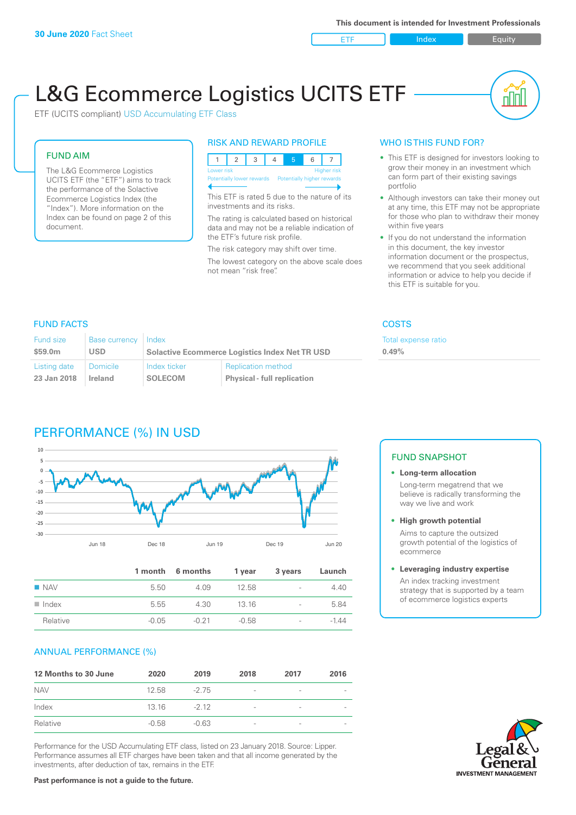ETF Index Buity

nn

# L&G Ecommerce Logistics UCITS ETF

ETF (UCITS compliant) USD Accumulating ETF Class

### FUND AIM

The L&G Ecommerce Logistics UCITS ETF (the "ETF") aims to track the performance of the Solactive Ecommerce Logistics Index (the "Index"). More information on the Index can be found on page 2 of this document.

### RISK AND REWARD PROFILE



This ETF is rated 5 due to the nature of its investments and its risks.

The rating is calculated based on historical data and may not be a reliable indication of the ETF's future risk profile.

The risk category may shift over time. The lowest category on the above scale does not mean "risk free".

### WHO IS THIS FUND FOR?

- This ETF is designed for investors looking to grow their money in an investment which can form part of their existing savings portfolio
- Although investors can take their money out at any time, this ETF may not be appropriate for those who plan to withdraw their money within five years
- If you do not understand the information in this document, the key investor information document or the prospectus, we recommend that you seek additional information or advice to help you decide if this ETF is suitable for you.

**0.49%**

Total expense ratio

### FUND FACTS COSTS

| <b>Fund size</b> | <b>Base currency</b> | Index                                                 |                                    |
|------------------|----------------------|-------------------------------------------------------|------------------------------------|
| \$59.0m          | <b>USD</b>           | <b>Solactive Ecommerce Logistics Index Net TR USD</b> |                                    |
| Listing date     | Domicile             | Index ticker                                          | <b>Replication method</b>          |
| 23 Jan 2018      | Ireland              | <b>SOLECOM</b>                                        | <b>Physical - full replication</b> |

## PERFORMANCE (%) IN USD



|                      |         | 1 month 6 months | 1 year  | 3 years                  | Launch |
|----------------------|---------|------------------|---------|--------------------------|--------|
| $\blacksquare$ NAV   | 5.50    | 4.09             | 12.58   | $\overline{\phantom{a}}$ | 4.40   |
| $\blacksquare$ Index | 5.55    | 4.30             | 13 16   | $\overline{\phantom{0}}$ | 5.84   |
| Relative             | $-0.05$ | $-0.21$          | $-0.58$ | $\overline{\phantom{a}}$ | -1 44  |

### ANNUAL PERFORMANCE (%)

| 12 Months to 30 June | 2020    | 2019    | 2018                     | 2017                     | 2016                     |
|----------------------|---------|---------|--------------------------|--------------------------|--------------------------|
| <b>NAV</b>           | 12.58   | $-275$  | $\overline{\phantom{a}}$ | $\qquad \qquad$          |                          |
| Index                | 13 16   | $-212$  | $\overline{\phantom{a}}$ | $\overline{\phantom{0}}$ | $\overline{\phantom{0}}$ |
| Relative             | $-0.58$ | $-0.63$ | $\qquad \qquad$          | $\qquad \qquad$          | $\overline{\phantom{a}}$ |

Performance for the USD Accumulating ETF class, listed on 23 January 2018. Source: Lipper. Performance assumes all ETF charges have been taken and that all income generated by the investments, after deduction of tax, remains in the ETF.

### FUND SNAPSHOT

### **• Long-term allocation** Long-term megatrend that we believe is radically transforming the way we live and work

**• High growth potential**

Aims to capture the outsized growth potential of the logistics of ecommerce

### **• Leveraging industry expertise**

An index tracking investment strategy that is supported by a team of ecommerce logistics experts

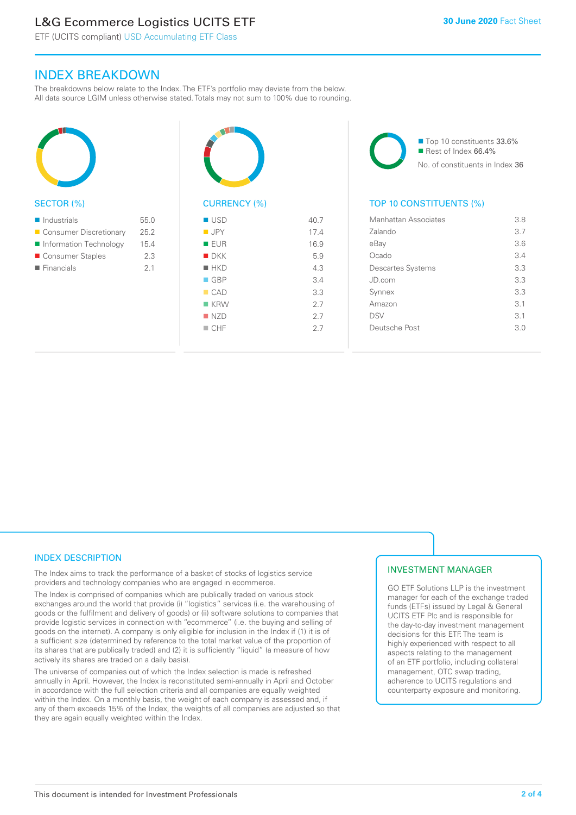# L&G Ecommerce Logistics UCITS ETF

ETF (UCITS compliant) USD Accumulating ETF Class

### INDEX BREAKDOWN

The breakdowns below relate to the Index. The ETF's portfolio may deviate from the below. All data source LGIM unless otherwise stated. Totals may not sum to 100% due to rounding.



### SECTOR (%)

| $\blacksquare$ Industrials | 55.0 |
|----------------------------|------|
| ■ Consumer Discretionary   | 25.2 |
| Information Technology     | 15.4 |
| ■ Consumer Staples         | 2.3  |
| $\blacksquare$ Financials  | 21   |
|                            |      |



| ■ USD              | 40.7 |
|--------------------|------|
| $\blacksquare$ JPY | 17.4 |
| <b>EUR</b>         | 16.9 |
| $\blacksquare$ DKK | 5.9  |
| $H$ HKD            | 4.3  |
| $\Box$ GBP         | 3.4  |
| CAD                | 3.3  |
| $K$ KRW            | 2.7  |
| NZD                | 2.7  |
| $\Box$ CHF         | 2.7  |
|                    |      |

■ Top 10 constituents 33.6%  $\blacksquare$  Rest of Index 66.4% No. of constituents in Index 36

### TOP 10 CONSTITUENTS (%)

| Manhattan Associates     | 3.8 |
|--------------------------|-----|
| Zalando                  | 3.7 |
| eBay                     | 3.6 |
| Ocado                    | 3.4 |
| <b>Descartes Systems</b> | 3.3 |
| JD.com                   | 3.3 |
| Synnex                   | 3.3 |
| Amazon                   | 3.1 |
| <b>DSV</b>               | 3.1 |
| Deutsche Post            | 3.0 |
|                          |     |

### INDEX DESCRIPTION

The Index aims to track the performance of a basket of stocks of logistics service providers and technology companies who are engaged in ecommerce.

The Index is comprised of companies which are publically traded on various stock exchanges around the world that provide (i) "logistics" services (i.e. the warehousing of goods or the fulfilment and delivery of goods) or (ii) software solutions to companies that provide logistic services in connection with "ecommerce" (i.e. the buying and selling of goods on the internet). A company is only eligible for inclusion in the Index if (1) it is of a sufficient size (determined by reference to the total market value of the proportion of its shares that are publically traded) and (2) it is sufficiently "liquid" (a measure of how actively its shares are traded on a daily basis).

The universe of companies out of which the Index selection is made is refreshed annually in April. However, the Index is reconstituted semi-annually in April and October in accordance with the full selection criteria and all companies are equally weighted within the Index. On a monthly basis, the weight of each company is assessed and, if any of them exceeds 15% of the Index, the weights of all companies are adjusted so that they are again equally weighted within the Index.

### INVESTMENT MANAGER

GO ETF Solutions LLP is the investment manager for each of the exchange traded funds (ETFs) issued by Legal & General UCITS ETF Plc and is responsible for the day-to-day investment management decisions for this ETF. The team is highly experienced with respect to all aspects relating to the management of an ETF portfolio, including collateral management, OTC swap trading, adherence to UCITS regulations and counterparty exposure and monitoring.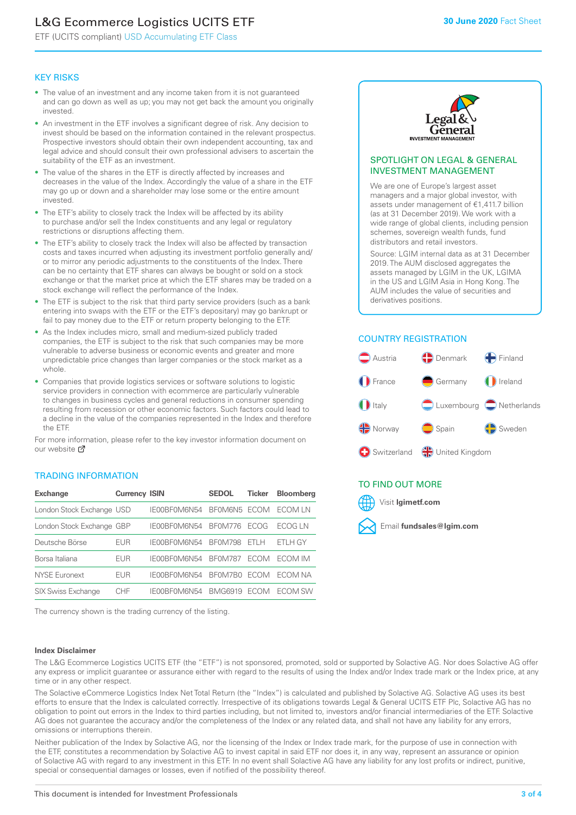# L&G Ecommerce Logistics UCITS ETF

ETF (UCITS compliant) USD Accumulating ETF Class

### KEY RISKS

- The value of an investment and any income taken from it is not guaranteed and can go down as well as up; you may not get back the amount you originally invested.
- An investment in the ETF involves a significant degree of risk. Any decision to invest should be based on the information contained in the relevant prospectus. Prospective investors should obtain their own independent accounting, tax and legal advice and should consult their own professional advisers to ascertain the suitability of the ETF as an investment.
- The value of the shares in the ETF is directly affected by increases and decreases in the value of the Index. Accordingly the value of a share in the ETF may go up or down and a shareholder may lose some or the entire amount invested.
- The ETF's ability to closely track the Index will be affected by its ability to purchase and/or sell the Index constituents and any legal or regulatory restrictions or disruptions affecting them.
- The ETF's ability to closely track the Index will also be affected by transaction costs and taxes incurred when adjusting its investment portfolio generally and/ or to mirror any periodic adjustments to the constituents of the Index. There can be no certainty that ETF shares can always be bought or sold on a stock exchange or that the market price at which the ETF shares may be traded on a stock exchange will reflect the performance of the Index.
- The ETF is subject to the risk that third party service providers (such as a bank entering into swaps with the ETF or the ETF's depositary) may go bankrupt or fail to pay money due to the ETF or return property belonging to the ETF.
- As the Index includes micro, small and medium-sized publicly traded companies, the ETF is subject to the risk that such companies may be more vulnerable to adverse business or economic events and greater and more unpredictable price changes than larger companies or the stock market as a whole.
- Companies that provide logistics services or software solutions to logistic service providers in connection with ecommerce are particularly vulnerable to changes in business cycles and general reductions in consumer spending resulting from recession or other economic factors. Such factors could lead to a decline in the value of the companies represented in the Index and therefore the ETF.

For more information, please refer to the key investor information document on our website Ø

### TRADING INFORMATION

| <b>Exchange</b>           | <b>Currency ISIN</b> |              | <b>SEDOL</b>   | <b>Ticker</b> | <b>Bloomberg</b> |
|---------------------------|----------------------|--------------|----------------|---------------|------------------|
| London Stock Exchange USD |                      | IE00BF0M6N54 | BFOM6N5 ECOM   |               | ECOM I N         |
| London Stock Exchange GBP |                      | IE00BF0M6N54 | <b>BF0M776</b> | <b>FCOG</b>   | FCOG I N         |
| Deutsche Börse            | EUR                  | IE00BF0M6N54 | <b>BF0M798</b> | FTI H         | FTI H GY         |
| Borsa Italiana            | EUR                  | IF00BF0M6N54 | <b>BF0M787</b> | <b>FCOM</b>   | <b>FCOM IM</b>   |
| <b>NYSE Euronext</b>      | <b>EUR</b>           | IE00BF0M6N54 | BF0M7B0        | <b>FCOM</b>   | FCOM NA          |
| SIX Swiss Exchange        | CHE                  | IE00BF0M6N54 | <b>BMG6919</b> | <b>FCOM</b>   | ECOM SW          |

The currency shown is the trading currency of the listing.

### **Index Disclaimer**



### SPOTLIGHT ON LEGAL & GENERAL INVESTMENT MANAGEMENT

We are one of Europe's largest asset managers and a major global investor, with assets under management of €1,411.7 billion (as at 31 December 2019). We work with a wide range of global clients, including pension schemes, sovereign wealth funds, fund distributors and retail investors.

Source: LGIM internal data as at 31 December 2019. The AUM disclosed aggregates the assets managed by LGIM in the UK, LGIMA in the US and LGIM Asia in Hong Kong. The AUM includes the value of securities and derivatives positions.

### COUNTRY REGISTRATION



### TO FIND OUT MORE



The L&G Ecommerce Logistics UCITS ETF (the "ETF") is not sponsored, promoted, sold or supported by Solactive AG. Nor does Solactive AG offer any express or implicit guarantee or assurance either with regard to the results of using the Index and/or Index trade mark or the Index price, at any time or in any other respect.

The Solactive eCommerce Logistics Index Net Total Return (the "Index") is calculated and published by Solactive AG. Solactive AG uses its best efforts to ensure that the Index is calculated correctly. Irrespective of its obligations towards Legal & General UCITS ETF Plc, Solactive AG has no obligation to point out errors in the Index to third parties including, but not limited to, investors and/or financial intermediaries of the ETF. Solactive AG does not guarantee the accuracy and/or the completeness of the Index or any related data, and shall not have any liability for any errors, omissions or interruptions therein.

Neither publication of the Index by Solactive AG, nor the licensing of the Index or Index trade mark, for the purpose of use in connection with the ETF, constitutes a recommendation by Solactive AG to invest capital in said ETF nor does it, in any way, represent an assurance or opinion of Solactive AG with regard to any investment in this ETF. In no event shall Solactive AG have any liability for any lost profits or indirect, punitive, special or consequential damages or losses, even if notified of the possibility thereof.